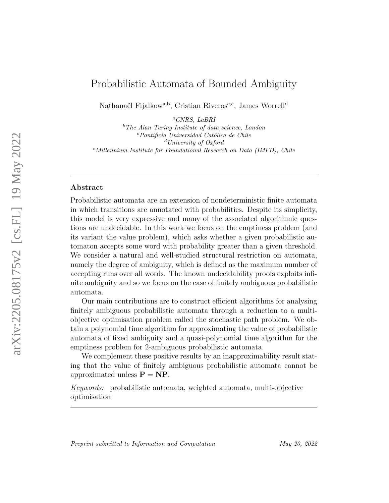# Probabilistic Automata of Bounded Ambiguity

Nathanaël Fijalkow<sup>a,b</sup>, Cristian Riveros<sup>c,e</sup>, James Worrell<sup>d</sup>

<sup>a</sup>CNRS, LaBRI

 $b$ <sup>b</sup>The Alan Turing Institute of data science, London  $c$ Pontificia Universidad Católica de Chile  $d$ University of Oxford  $e$ Millennium Institute for Foundational Research on Data (IMFD), Chile

### Abstract

Probabilistic automata are an extension of nondeterministic finite automata in which transitions are annotated with probabilities. Despite its simplicity, this model is very expressive and many of the associated algorithmic questions are undecidable. In this work we focus on the emptiness problem (and its variant the value problem), which asks whether a given probabilistic automaton accepts some word with probability greater than a given threshold. We consider a natural and well-studied structural restriction on automata, namely the degree of ambiguity, which is defined as the maximum number of accepting runs over all words. The known undecidability proofs exploits infinite ambiguity and so we focus on the case of finitely ambiguous probabilistic automata.

Our main contributions are to construct efficient algorithms for analysing finitely ambiguous probabilistic automata through a reduction to a multiobjective optimisation problem called the stochastic path problem. We obtain a polynomial time algorithm for approximating the value of probabilistic automata of fixed ambiguity and a quasi-polynomial time algorithm for the emptiness problem for 2-ambiguous probabilistic automata.

We complement these positive results by an inapproximability result stating that the value of finitely ambiguous probabilistic automata cannot be approximated unless  $P = NP$ .

Keywords: probabilistic automata, weighted automata, multi-objective optimisation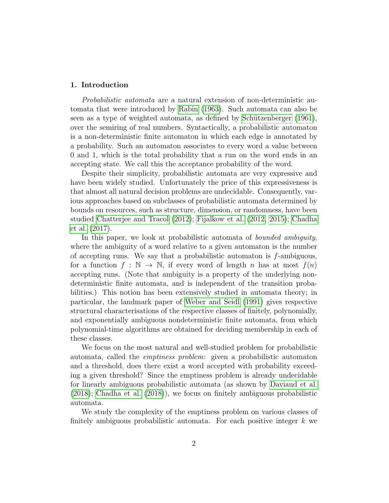### 1. Introduction

Probabilistic automata are a natural extension of non-deterministic automata that were introduced by [Rabin](#page-23-0) [\(1963\)](#page-23-0). Such automata can also be seen as a type of weighted automata, as defined by Schützenberger  $(1961)$ , over the semiring of real numbers. Syntactically, a probabilistic automaton is a non-deterministic finite automaton in which each edge is annotated by a probability. Such an automaton associates to every word a value between 0 and 1, which is the total probability that a run on the word ends in an accepting state. We call this the acceptance probability of the word.

Despite their simplicity, probabilistic automata are very expressive and have been widely studied. Unfortunately the price of this expressiveness is that almost all natural decision problems are undecidable. Consequently, various approaches based on subclasses of probabilistic automata determined by bounds on resources, such as structure, dimension, or randomness, have been studied [Chatterjee and Tracol](#page-22-0) [\(2012\)](#page-22-0); [Fijalkow et al.](#page-23-1) [\(2012,](#page-23-1) [2015\)](#page-22-1); [Chadha](#page-22-2) [et al.](#page-22-2) [\(2017\)](#page-22-2).

In this paper, we look at probabilistic automata of *bounded ambiguity*, where the ambiguity of a word relative to a given automaton is the number of accepting runs. We say that a probabilistic automaton is  $f$ -ambiguous, for a function  $f : \mathbb{N} \to \mathbb{N}$ , if every word of length n has at most  $f(n)$ accepting runs. (Note that ambiguity is a property of the underlying nondeterministic finite automata, and is independent of the transition probabilities.) This notion has been extensively studied in automata theory; in particular, the landmark paper of [Weber and Seidl](#page-24-1) [\(1991\)](#page-24-1) gives respective structural characterisations of the respective classes of finitely, polynomially, and exponentially ambiguous nondeterministic finite automata, from which polynomial-time algorithms are obtained for deciding membership in each of these classes.

We focus on the most natural and well-studied problem for probabilistic automata, called the emptiness problem: given a probabilistic automaton and a threshold, does there exist a word accepted with probability exceeding a given threshold? Since the emptiness problem is already undecidable for linearly ambiguous probabilistic automata (as shown by [Daviaud et al.](#page-22-3) [\(2018\)](#page-22-3); [Chadha et al.](#page-22-4) [\(2018\)](#page-22-4)), we focus on finitely ambiguous probabilistic automata.

We study the complexity of the emptiness problem on various classes of finitely ambiguous probabilistic automata. For each positive integer  $k$  we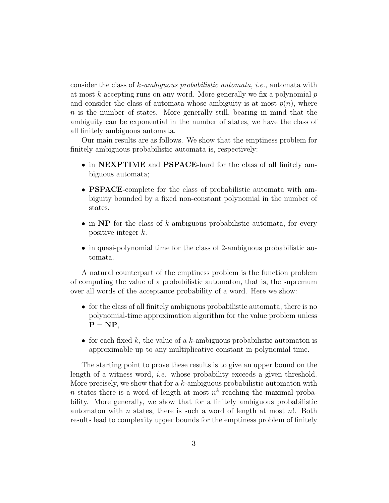consider the class of k-ambiguous probabilistic automata, i.e., automata with at most  $k$  accepting runs on any word. More generally we fix a polynomial  $p$ and consider the class of automata whose ambiguity is at most  $p(n)$ , where n is the number of states. More generally still, bearing in mind that the ambiguity can be exponential in the number of states, we have the class of all finitely ambiguous automata.

Our main results are as follows. We show that the emptiness problem for finitely ambiguous probabilistic automata is, respectively:

- in NEXPTIME and PSPACE-hard for the class of all finitely ambiguous automata;
- PSPACE-complete for the class of probabilistic automata with ambiguity bounded by a fixed non-constant polynomial in the number of states.
- $\bullet$  in NP for the class of k-ambiguous probabilistic automata, for every positive integer k.
- in quasi-polynomial time for the class of 2-ambiguous probabilistic automata.

A natural counterpart of the emptiness problem is the function problem of computing the value of a probabilistic automaton, that is, the supremum over all words of the acceptance probability of a word. Here we show:

- for the class of all finitely ambiguous probabilistic automata, there is no polynomial-time approximation algorithm for the value problem unless  $P = NP$ ,
- for each fixed k, the value of a k-ambiguous probabilistic automaton is approximable up to any multiplicative constant in polynomial time.

The starting point to prove these results is to give an upper bound on the length of a witness word, i.e. whose probability exceeds a given threshold. More precisely, we show that for a  $k$ -ambiguous probabilistic automaton with n states there is a word of length at most  $n^k$  reaching the maximal probability. More generally, we show that for a finitely ambiguous probabilistic automaton with n states, there is such a word of length at most  $n!$ . Both results lead to complexity upper bounds for the emptiness problem of finitely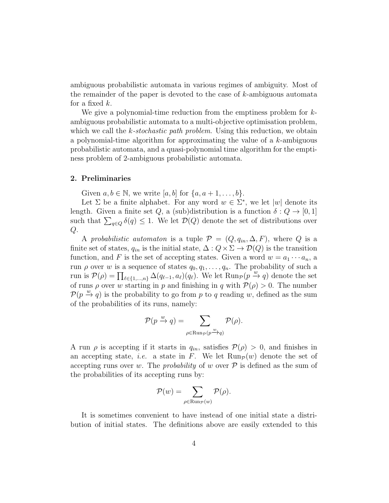ambiguous probabilistic automata in various regimes of ambiguity. Most of the remainder of the paper is devoted to the case of k-ambiguous automata for a fixed  $k$ .

We give a polynomial-time reduction from the emptiness problem for kambiguous probabilistic automata to a multi-objective optimisation problem, which we call the  $k$ -stochastic path problem. Using this reduction, we obtaina polynomial-time algorithm for approximating the value of a k-ambiguous probabilistic automata, and a quasi-polynomial time algorithm for the emptiness problem of 2-ambiguous probabilistic automata.

### 2. Preliminaries

Given  $a, b \in \mathbb{N}$ , we write  $[a, b]$  for  $\{a, a+1, \ldots, b\}$ .

Let  $\Sigma$  be a finite alphabet. For any word  $w \in \Sigma^*$ , we let  $|w|$  denote its length. Given a finite set Q, a (sub)distribution is a function  $\delta: Q \to [0, 1]$ such that  $\sum_{q \in Q} \delta(q) \leq 1$ . We let  $\mathcal{D}(Q)$  denote the set of distributions over  $Q$ .

A probabilistic automaton is a tuple  $\mathcal{P} = (Q, q_{in}, \Delta, F)$ , where Q is a finite set of states,  $q_{in}$  is the initial state,  $\Delta: Q \times \Sigma \to \mathcal{D}(Q)$  is the transition function, and F is the set of accepting states. Given a word  $w = a_1 \cdots a_n$ , a run  $\rho$  over w is a sequence of states  $q_0, q_1, \ldots, q_n$ . The probability of such a run is  $\mathcal{P}(\rho) = \prod_{\ell \in \{1,\ldots,n\}} \Delta(q_{\ell-1}, a_{\ell})(q_{\ell}).$  We let  $\text{Run}_{\mathcal{P}}(p \xrightarrow{w} q)$  denote the set of runs  $\rho$  over w starting in p and finishing in q with  $\mathcal{P}(\rho) > 0$ . The number  $\mathcal{P}(p \stackrel{w}{\rightarrow} q)$  is the probability to go from p to q reading w, defined as the sum of the probabilities of its runs, namely:

$$
\mathcal{P}(p \xrightarrow{w} q) = \sum_{\rho \in \text{Run}_{\mathcal{P}}(p \xrightarrow{w} q)} \mathcal{P}(\rho).
$$

A run  $\rho$  is accepting if it starts in  $q_{in}$ , satisfies  $\mathcal{P}(\rho) > 0$ , and finishes in an accepting state, *i.e.* a state in F. We let  $\text{Run}_{\mathcal{P}}(w)$  denote the set of accepting runs over w. The *probability* of w over  $P$  is defined as the sum of the probabilities of its accepting runs by:

$$
\mathcal{P}(w) = \sum_{\rho \in \text{Run}_{\mathcal{P}}(w)} \mathcal{P}(\rho).
$$

It is sometimes convenient to have instead of one initial state a distribution of initial states. The definitions above are easily extended to this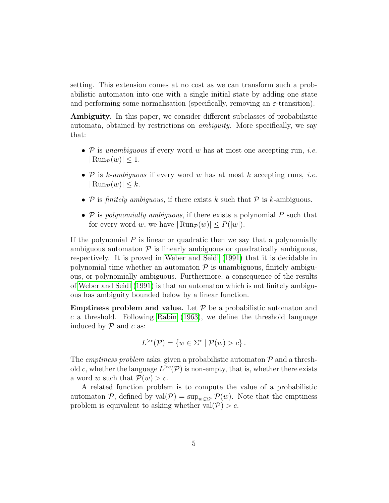setting. This extension comes at no cost as we can transform such a probabilistic automaton into one with a single initial state by adding one state and performing some normalisation (specifically, removing an  $\varepsilon$ -transition).

Ambiguity. In this paper, we consider different subclasses of probabilistic automata, obtained by restrictions on ambiguity. More specifically, we say that:

- $P$  is unambiquous if every word w has at most one accepting run, *i.e.*  $|\operatorname{Run}_{\mathcal{P}}(w)| \leq 1.$
- $P$  is k-ambiguous if every word w has at most k accepting runs, *i.e.*  $|\operatorname{Run}_{\mathcal{P}}(w)| \leq k.$
- $P$  is finitely ambiguous, if there exists k such that  $P$  is k-ambiguous.
- $P$  is polynomially ambiguous, if there exists a polynomial  $P$  such that for every word w, we have  $|\text{Run}_{\mathcal{P}}(w)| \leq P(|w|)$ .

If the polynomial  $P$  is linear or quadratic then we say that a polynomially ambiguous automaton  $\mathcal P$  is linearly ambiguous or quadratically ambiguous, respectively. It is proved in [Weber and Seidl](#page-24-1) [\(1991\)](#page-24-1) that it is decidable in polynomial time whether an automaton  $\mathcal P$  is unambiguous, finitely ambiguous, or polynomially ambiguous. Furthermore, a consequence of the results of [Weber and Seidl](#page-24-1) [\(1991\)](#page-24-1) is that an automaton which is not finitely ambiguous has ambiguity bounded below by a linear function.

**Emptiness problem and value.** Let  $P$  be a probabilistic automaton and  $c$  a threshold. Following [Rabin](#page-23-0) [\(1963\)](#page-23-0), we define the threshold language induced by  $\mathcal P$  and  $c$  as:

$$
L^{>c}(\mathcal{P}) = \{w \in \Sigma^* \mid \mathcal{P}(w) > c\}.
$$

The *emptiness problem* asks, given a probabilistic automaton  $P$  and a threshold c, whether the language  $L^{>c}(\mathcal{P})$  is non-empty, that is, whether there exists a word w such that  $\mathcal{P}(w) > c$ .

A related function problem is to compute the value of a probabilistic automaton P, defined by val $(\mathcal{P}) = \sup_{w \in \Sigma^*} \mathcal{P}(w)$ . Note that the emptiness problem is equivalent to asking whether val $(\mathcal{P}) > c$ .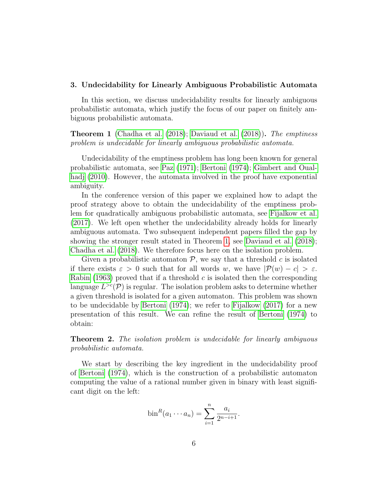#### 3. Undecidability for Linearly Ambiguous Probabilistic Automata

In this section, we discuss undecidability results for linearly ambiguous probabilistic automata, which justify the focus of our paper on finitely ambiguous probabilistic automata.

<span id="page-5-0"></span>Theorem 1 [\(Chadha et al.](#page-22-4) [\(2018\)](#page-22-4); [Daviaud et al.](#page-22-3) [\(2018\)](#page-22-3)). The emptiness problem is undecidable for linearly ambiguous probabilistic automata.

Undecidability of the emptiness problem has long been known for general probabilistic automata, see [Paz](#page-23-2) [\(1971\)](#page-23-2); [Bertoni](#page-22-5) [\(1974\)](#page-22-5); [Gimbert and Oual](#page-23-3)[hadj](#page-23-3) [\(2010\)](#page-23-3). However, the automata involved in the proof have exponential ambiguity.

In the conference version of this paper we explained how to adapt the proof strategy above to obtain the undecidability of the emptiness problem for quadratically ambiguous probabilistic automata, see [Fijalkow et al.](#page-23-4) [\(2017\)](#page-23-4). We left open whether the undecidability already holds for linearly ambiguous automata. Two subsequent independent papers filled the gap by showing the stronger result stated in Theorem [1,](#page-5-0) see [Daviaud et al.](#page-22-3) [\(2018\)](#page-22-3); [Chadha et al.](#page-22-4) [\(2018\)](#page-22-4). We therefore focus here on the isolation problem.

Given a probabilistic automator  $\mathcal{P}$ , we say that a threshold c is isolated if there exists  $\varepsilon > 0$  such that for all words w, we have  $|\mathcal{P}(w) - c| > \varepsilon$ . [Rabin](#page-23-0) [\(1963\)](#page-23-0) proved that if a threshold  $c$  is isolated then the corresponding language  $L^{>c}(\mathcal{P})$  is regular. The isolation problem asks to determine whether a given threshold is isolated for a given automaton. This problem was shown to be undecidable by [Bertoni](#page-22-5) [\(1974\)](#page-22-5); we refer to [Fijalkow](#page-22-6) [\(2017\)](#page-22-6) for a new presentation of this result. We can refine the result of [Bertoni](#page-22-5) [\(1974\)](#page-22-5) to obtain:

**Theorem 2.** The isolation problem is undecidable for linearly ambiguous probabilistic automata.

We start by describing the key ingredient in the undecidability proof of [Bertoni](#page-22-5) [\(1974\)](#page-22-5), which is the construction of a probabilistic automaton computing the value of a rational number given in binary with least significant digit on the left:

$$
bin^{R}(a_1 \cdots a_n) = \sum_{i=1}^{n} \frac{a_i}{2^{n-i+1}}.
$$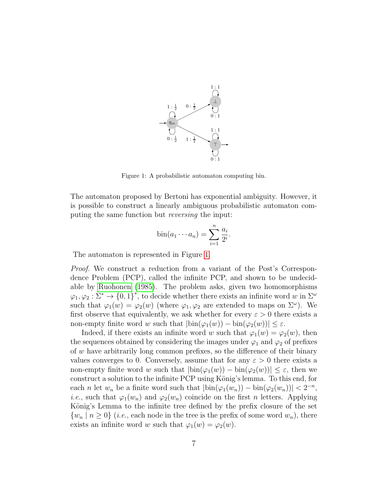<span id="page-6-0"></span>

Figure 1: A probabilistic automaton computing bin.

The automaton proposed by Bertoni has exponential ambiguity. However, it is possible to construct a linearly ambiguous probabilistic automaton computing the same function but reversing the input:

$$
\operatorname{bin}(a_1 \cdots a_n) = \sum_{i=1}^n \frac{a_i}{2^i}.
$$

The automaton is represented in Figure [1.](#page-6-0)

Proof. We construct a reduction from a variant of the Post's Correspondence Problem (PCP), called the infinite PCP, and shown to be undecidable by [Ruohonen](#page-23-5) [\(1985\)](#page-23-5). The problem asks, given two homomorphisms  $\varphi_1, \varphi_2 : \Sigma^* \to \{0,1\}^*$ , to decide whether there exists an infinite word w in  $\Sigma^\omega$ such that  $\varphi_1(w) = \varphi_2(w)$  (where  $\varphi_1, \varphi_2$  are extended to maps on  $\Sigma^{\omega}$ ). We first observe that equivalently, we ask whether for every  $\varepsilon > 0$  there exists a non-empty finite word w such that  $|\text{bin}(\varphi_1(w)) - \text{bin}(\varphi_2(w))| \leq \varepsilon$ .

Indeed, if there exists an infinite word w such that  $\varphi_1(w) = \varphi_2(w)$ , then the sequences obtained by considering the images under  $\varphi_1$  and  $\varphi_2$  of prefixes of w have arbitrarily long common prefixes, so the difference of their binary values converges to 0. Conversely, assume that for any  $\varepsilon > 0$  there exists a non-empty finite word w such that  $|\text{bin}(\varphi_1(w)) - \text{bin}(\varphi_2(w))| \leq \varepsilon$ , then we construct a solution to the infinite PCP using König's lemma. To this end, for each *n* let  $w_n$  be a finite word such that  $|\text{bin}(\varphi_1(w_n)) - \text{bin}(\varphi_2(w_n))| < 2^{-n}$ , *i.e.*, such that  $\varphi_1(w_n)$  and  $\varphi_2(w_n)$  coincide on the first *n* letters. Applying König's Lemma to the infinite tree defined by the prefix closure of the set  ${w_n \mid n \ge 0}$  (*i.e.*, each node in the tree is the prefix of some word  $w_n$ ), there exists an infinite word w such that  $\varphi_1(w) = \varphi_2(w)$ .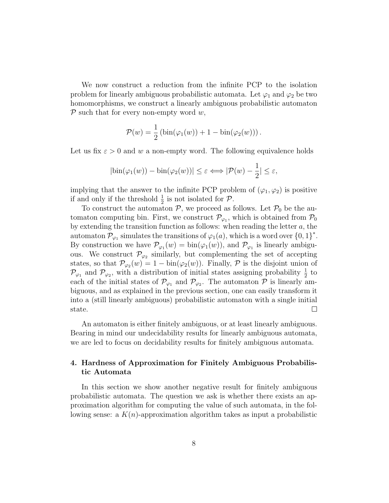We now construct a reduction from the infinite PCP to the isolation problem for linearly ambiguous probabilistic automata. Let  $\varphi_1$  and  $\varphi_2$  be two homomorphisms, we construct a linearly ambiguous probabilistic automaton  $P$  such that for every non-empty word  $w$ ,

$$
\mathcal{P}(w) = \frac{1}{2} \left( \mathrm{bin}(\varphi_1(w)) + 1 - \mathrm{bin}(\varphi_2(w)) \right).
$$

Let us fix  $\varepsilon > 0$  and w a non-empty word. The following equivalence holds

$$
|\text{bin}(\varphi_1(w)) - \text{bin}(\varphi_2(w))| \le \varepsilon \Longleftrightarrow |\mathcal{P}(w) - \frac{1}{2}| \le \varepsilon,
$$

implying that the answer to the infinite PCP problem of  $(\varphi_1, \varphi_2)$  is positive if and only if the threshold  $\frac{1}{2}$  is not isolated for  $P$ .

To construct the automaton  $P$ , we proceed as follows. Let  $P_0$  be the automaton computing bin. First, we construct  $\mathcal{P}_{\varphi_1}$ , which is obtained from  $\mathcal{P}_0$ by extending the transition function as follows: when reading the letter  $a$ , the automaton  $\mathcal{P}_{\varphi_1}$  simulates the transitions of  $\varphi_1(a)$ , which is a word over  $\{0,1\}^*$ . By construction we have  $\mathcal{P}_{\varphi_1}(w) = \text{bin}(\varphi_1(w))$ , and  $\mathcal{P}_{\varphi_1}$  is linearly ambiguous. We construct  $\mathcal{P}_{\varphi_2}$  similarly, but complementing the set of accepting states, so that  $\mathcal{P}_{\varphi_2}(w) = 1 - \text{bin}(\varphi_2(w))$ . Finally,  $\mathcal P$  is the disjoint union of  $\mathcal{P}_{\varphi_1}$  and  $\mathcal{P}_{\varphi_2}$ , with a distribution of initial states assigning probability  $\frac{1}{2}$  to each of the initial states of  $\mathcal{P}_{\varphi_1}$  and  $\mathcal{P}_{\varphi_2}$ . The automaton  $\mathcal P$  is linearly ambiguous, and as explained in the previous section, one can easily transform it into a (still linearly ambiguous) probabilistic automaton with a single initial state.  $\Box$ 

An automaton is either finitely ambiguous, or at least linearly ambiguous. Bearing in mind our undecidability results for linearly ambiguous automata, we are led to focus on decidability results for finitely ambiguous automata.

# 4. Hardness of Approximation for Finitely Ambiguous Probabilistic Automata

In this section we show another negative result for finitely ambiguous probabilistic automata. The question we ask is whether there exists an approximation algorithm for computing the value of such automata, in the following sense: a  $K(n)$ -approximation algorithm takes as input a probabilistic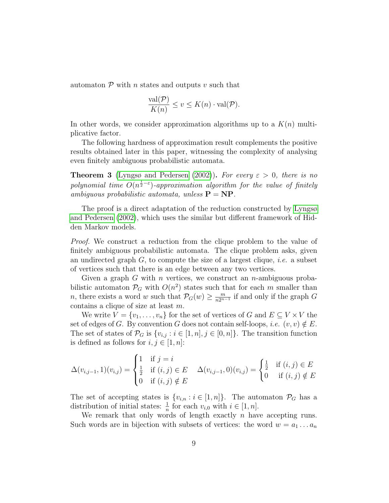automaton  $P$  with n states and outputs v such that

$$
\frac{\text{val}(\mathcal{P})}{K(n)} \le v \le K(n) \cdot \text{val}(\mathcal{P}).
$$

In other words, we consider approximation algorithms up to a  $K(n)$  multiplicative factor.

The following hardness of approximation result complements the positive results obtained later in this paper, witnessing the complexity of analysing even finitely ambiguous probabilistic automata.

<span id="page-8-0"></span>**Theorem 3** [\(Lyngsø and Pedersen](#page-23-6) [\(2002\)](#page-23-6)). For every  $\varepsilon > 0$ , there is no polynomial time  $O(n^{\frac{1}{2}-\varepsilon})$ -approximation algorithm for the value of finitely ambiguous probabilistic automata, unless  $\mathbf{P} = \mathbf{NP}$ .

The proof is a direct adaptation of the reduction constructed by [Lyngsø](#page-23-6) [and Pedersen](#page-23-6) [\(2002\)](#page-23-6), which uses the similar but different framework of Hidden Markov models.

Proof. We construct a reduction from the clique problem to the value of finitely ambiguous probabilistic automata. The clique problem asks, given an undirected graph  $G$ , to compute the size of a largest clique, *i.e.* a subset of vertices such that there is an edge between any two vertices.

Given a graph  $G$  with  $n$  vertices, we construct an  $n$ -ambiguous probabilistic automaton  $\mathcal{P}_G$  with  $O(n^2)$  states such that for each m smaller than *n*, there exists a word w such that  $\mathcal{P}_G(w) \ge \frac{m}{n2^{n}}$  $\frac{m}{n2^{n-1}}$  if and only if the graph G contains a clique of size at least m.

We write  $V = \{v_1, \ldots, v_n\}$  for the set of vertices of G and  $E \subseteq V \times V$  the set of edges of G. By convention G does not contain self-loops, *i.e.*  $(v, v) \notin E$ . The set of states of  $\mathcal{P}_G$  is  $\{v_{i,j} : i \in [1,n], j \in [0,n]\}.$  The transition function is defined as follows for  $i, j \in [1, n]$ :

$$
\Delta(v_{i,j-1},1)(v_{i,j}) = \begin{cases} 1 & \text{if } j = i \\ \frac{1}{2} & \text{if } (i,j) \in E \\ 0 & \text{if } (i,j) \notin E \end{cases} \quad \Delta(v_{i,j-1},0)(v_{i,j}) = \begin{cases} \frac{1}{2} & \text{if } (i,j) \in E \\ 0 & \text{if } (i,j) \notin E \end{cases}
$$

The set of accepting states is  $\{v_{i,n} : i \in [1,n]\}$ . The automaton  $\mathcal{P}_G$  has a distribution of initial states:  $\frac{1}{n}$  for each  $v_{i,0}$  with  $i \in [1, n]$ .

We remark that only words of length exactly  $n$  have accepting runs. Such words are in bijection with subsets of vertices: the word  $w = a_1 \dots a_n$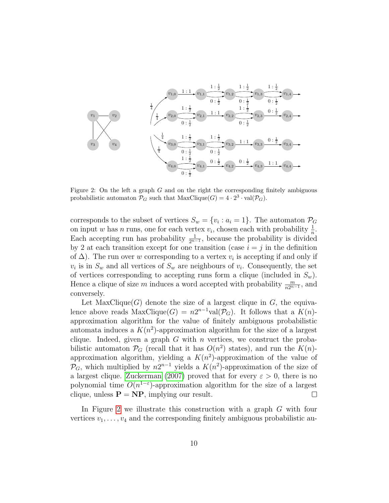<span id="page-9-0"></span>

Figure 2: On the left a graph G and on the right the corresponding finitely ambiguous probabilistic automaton  $\mathcal{P}_G$  such that  $MaxClique(G) = 4 \cdot 2^3 \cdot val(\mathcal{P}_G)$ .

corresponds to the subset of vertices  $S_w = \{v_i : a_i = 1\}$ . The automaton  $\mathcal{P}_G$ on input w has n runs, one for each vertex  $v_i$ , chosen each with probability  $\frac{1}{n}$ . Each accepting run has probability  $\frac{1}{2^{n-1}}$ , because the probability is divided by 2 at each transition except for one transition (case  $i = j$  in the definition of  $\Delta$ ). The run over w corresponding to a vertex  $v_i$  is accepting if and only if  $v_i$  is in  $S_w$  and all vertices of  $S_w$  are neighbours of  $v_i$ . Consequently, the set of vertices corresponding to accepting runs form a clique (included in  $S_w$ ). Hence a clique of size m induces a word accepted with probability  $\frac{m}{n2^{n-1}}$ , and conversely.

Let  $MaxClique(G)$  denote the size of a largest clique in G, the equivalence above reads  $MaxClique(G) = n2^{n-1}val(\mathcal{P}_G)$ . It follows that a  $K(n)$ approximation algorithm for the value of finitely ambiguous probabilistic automata induces a  $K(n^2)$ -approximation algorithm for the size of a largest clique. Indeed, given a graph  $G$  with  $n$  vertices, we construct the probabilistic automaton  $\mathcal{P}_G$  (recall that it has  $O(n^2)$  states), and run the  $K(n)$ approximation algorithm, yielding a  $K(n^2)$ -approximation of the value of  $\mathcal{P}_G$ , which multiplied by  $n2^{n-1}$  yields a  $K(n^2)$ -approximation of the size of a largest clique. [Zuckerman](#page-24-2) [\(2007\)](#page-24-2) proved that for every  $\varepsilon > 0$ , there is no polynomial time  $O(n^{1-\epsilon})$ -approximation algorithm for the size of a largest clique, unless  $P = NP$ , implying our result.  $\Box$ 

In Figure [2](#page-9-0) we illustrate this construction with a graph G with four vertices  $v_1, \ldots, v_4$  and the corresponding finitely ambiguous probabilistic au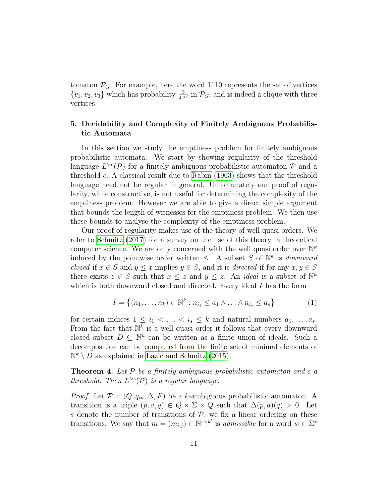tomaton  $\mathcal{P}_G$ . For example, here the word 1110 represents the set of vertices  $\{v_1, v_2, v_3\}$  which has probability  $\frac{3}{4 \cdot 2^3}$  in  $\mathcal{P}_G$ , and is indeed a clique with three vertices.

## 5. Decidability and Complexity of Finitely Ambiguous Probabilistic Automata

In this section we study the emptiness problem for finitely ambiguous probabilistic automata. We start by showing regularity of the threshold language  $L^{>c}(\mathcal{P})$  for a finitely ambiguous probabilistic automaton  $\mathcal P$  and a threshold c. A classical result due to [Rabin](#page-23-0) [\(1963\)](#page-23-0) shows that the threshold language need not be regular in general. Unfortunately our proof of regularity, while constructive, is not useful for determining the complexity of the emptiness problem. However we are able to give a direct simple argument that bounds the length of witnesses for the emptiness problem. We then use these bounds to analyse the complexity of the emptiness problem.

Our proof of regularity makes use of the theory of well quasi orders. We refer to [Schmitz](#page-23-7) [\(2017\)](#page-23-7) for a survey on the use of this theory in theoretical computer science. We are only concerned with the well quasi order over  $\mathbb{N}^k$ induced by the pointwise order written  $\leq$ . A subset S of  $\mathbb{N}^k$  is *downward* closed if  $x \in S$  and  $y \leq x$  implies  $y \in S$ , and it is directed if for any  $x, y \in S$ there exists  $z \in S$  such that  $x \leq z$  and  $y \leq z$ . An *ideal* is a subset of  $\mathbb{N}^k$ which is both downward closed and directed. Every ideal I has the form

<span id="page-10-0"></span>
$$
I = \{(n_1, \ldots, n_k) \in \mathbb{N}^k : n_{i_1} \leq a_1 \land \ldots \land n_{i_s} \leq a_s\}
$$
 (1)

for certain indices  $1 \leq i_1 < \ldots < i_s \leq k$  and natural numbers  $a_1, \ldots, a_s$ . From the fact that  $\mathbb{N}^k$  is a well quasi order it follows that every downward closed subset  $D \subseteq \mathbb{N}^k$  can be written as a finite union of ideals. Such a decomposition can be computed from the finite set of minimal elements of  $\mathbb{N}^k \setminus D$  as explained in Lazić and Schmitz [\(2015\)](#page-23-8).

**Theorem 4.** Let  $P$  be a finitely ambiguous probabilistic automaton and c a threshold. Then  $L^{>c}(\mathcal{P})$  is a regular language.

*Proof.* Let  $\mathcal{P} = (Q, q_{in}, \Delta, F)$  be a k-ambiguous probabilistic automaton. A transition is a triple  $(p, a, q) \in Q \times \Sigma \times Q$  such that  $\Delta(p, a)(q) > 0$ . Let s denote the number of transitions of  $P$ , we fix a linear ordering on these transitions. We say that  $m = (m_{i,j}) \in \mathbb{N}^{s \times k'}$  is *admissible* for a word  $w \in \Sigma^*$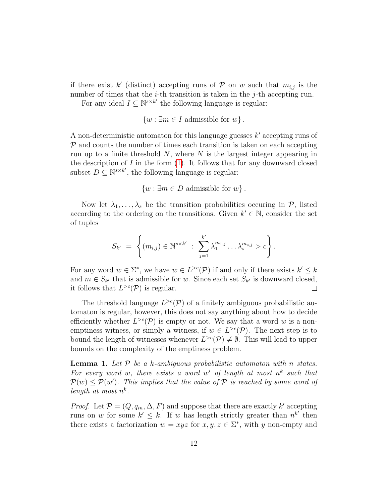if there exist k' (distinct) accepting runs of  $P$  on w such that  $m_{i,j}$  is the number of times that the  $i$ -th transition is taken in the  $j$ -th accepting run. For any ideal  $I \subseteq \mathbb{N}^{s \times k'}$  the following language is regular:

$$
\{w : \exists m \in I \text{ admissible for } w\}.
$$

A non-deterministic automaton for this language guesses  $k'$  accepting runs of  $P$  and counts the number of times each transition is taken on each accepting run up to a finite threshold  $N$ , where  $N$  is the largest integer appearing in the description of  $I$  in the form  $(1)$ . It follows that for any downward closed subset  $D \subseteq \mathbb{N}^{s \times k'}$ , the following language is regular:

 $\{w : \exists m \in D \text{ admissible for } w\}.$ 

Now let  $\lambda_1, \ldots, \lambda_s$  be the transition probabilities occuring in  $P$ , listed according to the ordering on the transitions. Given  $k' \in \mathbb{N}$ , consider the set of tuples

$$
S_{k'} = \left\{ (m_{i,j}) \in \mathbb{N}^{s \times k'} : \sum_{j=1}^{k'} \lambda_1^{m_{1,j}} \dots \lambda_s^{m_{s,j}} > c \right\}.
$$

For any word  $w \in \Sigma^*$ , we have  $w \in L^{>c}(\mathcal{P})$  if and only if there exists  $k' \leq k$ and  $m \in S_{k'}$  that is admissible for w. Since each set  $S_{k'}$  is downward closed, it follows that  $L^{>c}(\mathcal{P})$  is regular.  $\Box$ 

The threshold language  $L^{>c}(\mathcal{P})$  of a finitely ambiguous probabilistic automaton is regular, however, this does not say anything about how to decide efficiently whether  $L^{>c}(\mathcal{P})$  is empty or not. We say that a word w is a nonemptiness witness, or simply a witness, if  $w \in L^{>c}(\mathcal{P})$ . The next step is to bound the length of witnesses whenever  $L^{>c}(\mathcal{P}) \neq \emptyset$ . This will lead to upper bounds on the complexity of the emptiness problem.

<span id="page-11-0"></span>**Lemma 1.** Let  $P$  be a k-ambiguous probabilistic automaton with n states. For every word w, there exists a word w' of length at most  $n^k$  such that  $P(w) \le P(w')$ . This implies that the value of P is reached by some word of length at most  $n^k$ .

*Proof.* Let  $\mathcal{P} = (Q, q_{in}, \Delta, F)$  and suppose that there are exactly k' accepting runs on w for some  $k' \leq k$ . If w has length strictly greater than  $n^{k'}$  then there exists a factorization  $w = xyz$  for  $x, y, z \in \Sigma^*$ , with y non-empty and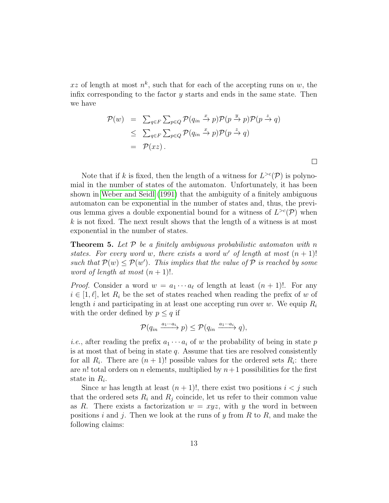xz of length at most  $n^k$ , such that for each of the accepting runs on w, the infix corresponding to the factor  $y$  starts and ends in the same state. Then we have

$$
\mathcal{P}(w) = \sum_{q \in F} \sum_{p \in Q} \mathcal{P}(q_{in} \xrightarrow{x} p) \mathcal{P}(p \xrightarrow{y} p) \mathcal{P}(p \xrightarrow{z} q)
$$
  
\n
$$
\leq \sum_{q \in F} \sum_{p \in Q} \mathcal{P}(q_{in} \xrightarrow{x} p) \mathcal{P}(p \xrightarrow{z} q)
$$
  
\n
$$
= \mathcal{P}(xz).
$$

Note that if k is fixed, then the length of a witness for  $L^{>c}(\mathcal{P})$  is polynomial in the number of states of the automaton. Unfortunately, it has been shown in [Weber and Seidl](#page-24-1) [\(1991\)](#page-24-1) that the ambiguity of a finitely ambiguous automaton can be exponential in the number of states and, thus, the previous lemma gives a double exponential bound for a witness of  $L^{>c}(\mathcal{P})$  when  $k$  is not fixed. The next result shows that the length of a witness is at most exponential in the number of states.

<span id="page-12-0"></span>**Theorem 5.** Let  $P$  be a finitely ambiguous probabilistic automaton with n states. For every word w, there exists a word w' of length at most  $(n + 1)!$ such that  $P(w) \le P(w')$ . This implies that the value of P is reached by some word of length at most  $(n + 1)!$ .

*Proof.* Consider a word  $w = a_1 \cdots a_\ell$  of length at least  $(n + 1)!$ . For any  $i \in [1, \ell],$  let  $R_i$  be the set of states reached when reading the prefix of w of length i and participating in at least one accepting run over w. We equip  $R_i$ with the order defined by  $p \leq q$  if

$$
\mathcal{P}(q_{in} \xrightarrow{a_1 \cdots a_i} p) \leq \mathcal{P}(q_{in} \xrightarrow{a_1 \cdots a_i} q),
$$

*i.e.*, after reading the prefix  $a_1 \cdots a_i$  of w the probability of being in state p is at most that of being in state  $q$ . Assume that ties are resolved consistently for all  $R_i$ . There are  $(n + 1)!$  possible values for the ordered sets  $R_i$ : there are n! total orders on n elements, multiplied by  $n+1$  possibilities for the first state in  $R_i$ .

Since w has length at least  $(n + 1)!$ , there exist two positions  $i < j$  such that the ordered sets  $R_i$  and  $R_j$  coincide, let us refer to their common value as R. There exists a factorization  $w = xyz$ , with y the word in between positions i and j. Then we look at the runs of y from  $R$  to  $R$ , and make the following claims: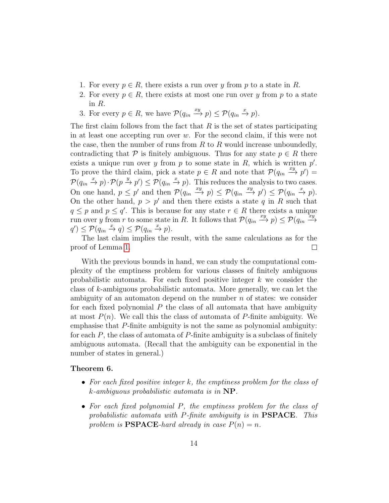- 1. For every  $p \in R$ , there exists a run over y from p to a state in R.
- 2. For every  $p \in R$ , there exists at most one run over y from p to a state in R.
- 3. For every  $p \in R$ , we have  $\mathcal{P}(q_{in} \xrightarrow{xy} p) \leq \mathcal{P}(q_{in} \xrightarrow{x} p)$ .

The first claim follows from the fact that  $R$  is the set of states participating in at least one accepting run over w. For the second claim, if this were not the case, then the number of runs from  $R$  to  $R$  would increase unboundedly, contradicting that P is finitely ambiguous. Thus for any state  $p \in R$  there exists a unique run over  $y$  from  $p$  to some state in  $R$ , which is written  $p'$ . To prove the third claim, pick a state  $p \in R$  and note that  $\mathcal{P}(q_{in} \xrightarrow{xy} p') =$  $\mathcal{P}(q_{in} \xrightarrow{x} p) \cdot \mathcal{P}(p \xrightarrow{y} p') \leq \mathcal{P}(q_{in} \xrightarrow{x} p)$ . This reduces the analysis to two cases. On one hand,  $p \leq p'$  and then  $\mathcal{P}(q_{in} \xrightarrow{xy} p) \leq \mathcal{P}(q_{in} \xrightarrow{xy} p') \leq \mathcal{P}(q_{in} \xrightarrow{x} p)$ . On the other hand,  $p > p'$  and then there exists a state q in R such that  $q \leq p$  and  $p \leq q'$ . This is because for any state  $r \in R$  there exists a unique run over y from r to some state in R. It follows that  $\mathcal{P}(q_{in} \xrightarrow{xy} p) \leq \mathcal{P}(q_{in} \xrightarrow{xy} q)$ −→  $q' \leq \mathcal{P}(q_{in} \xrightarrow{x} q) \leq \mathcal{P}(q_{in} \xrightarrow{x} p).$ 

The last claim implies the result, with the same calculations as for the proof of Lemma [1.](#page-11-0)  $\Box$ 

With the previous bounds in hand, we can study the computational complexity of the emptiness problem for various classes of finitely ambiguous probabilistic automata. For each fixed positive integer  $k$  we consider the class of k-ambiguous probabilistic automata. More generally, we can let the ambiguity of an automaton depend on the number  $n$  of states: we consider for each fixed polynomial  $P$  the class of all automata that have ambiguity at most  $P(n)$ . We call this the class of automata of P-finite ambiguity. We emphasise that P-finite ambiguity is not the same as polynomial ambiguity: for each  $P$ , the class of automata of  $P$ -finite ambiguity is a subclass of finitely ambiguous automata. (Recall that the ambiguity can be exponential in the number of states in general.)

### <span id="page-13-0"></span>Theorem 6.

- For each fixed positive integer  $k$ , the emptiness problem for the class of k-ambiguous probabilistic automata is in NP.
- For each fixed polynomial P, the emptiness problem for the class of probabilistic automata with P-finite ambiguity is in PSPACE. This problem is **PSPACE**-hard already in case  $P(n) = n$ .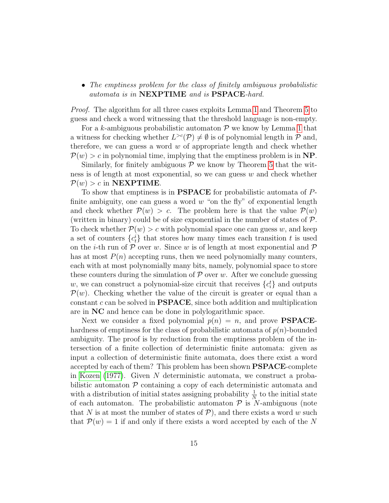• The emptiness problem for the class of finitely ambiguous probabilistic automata is in NEXPTIME and is PSPACE-hard.

Proof. The algorithm for all three cases exploits Lemma [1](#page-11-0) and Theorem [5](#page-12-0) to guess and check a word witnessing that the threshold language is non-empty.

For a k-ambiguous probabilistic automaton  $P$  we know by Lemma [1](#page-11-0) that a witness for checking whether  $L^{>c}(\mathcal{P}) \neq \emptyset$  is of polynomial length in  $\mathcal P$  and, therefore, we can guess a word  $w$  of appropriate length and check whether  $P(w) > c$  in polynomial time, implying that the emptiness problem is in NP.

Similarly, for finitely ambiguous  $P$  we know by Theorem [5](#page-12-0) that the witness is of length at most exponential, so we can guess w and check whether  $P(w) > c$  in **NEXPTIME**.

To show that emptiness is in PSPACE for probabilistic automata of Pfinite ambiguity, one can guess a word  $w$  "on the fly" of exponential length and check whether  $\mathcal{P}(w) > c$ . The problem here is that the value  $\mathcal{P}(w)$ (written in binary) could be of size exponential in the number of states of  $P$ . To check whether  $\mathcal{P}(w) > c$  with polynomial space one can guess w, and keep a set of counters  ${c<sub>t</sub>}$  that stores how many times each transition t is used on the *i*-th run of  $P$  over w. Since w is of length at most exponential and  $P$ has at most  $P(n)$  accepting runs, then we need polynomially many counters, each with at most polynomially many bits, namely, polynomial space to store these counters during the simulation of  $P$  over w. After we conclude guessing w, we can construct a polynomial-size circuit that receives  $\{c_i^t\}$  and outputs  $\mathcal{P}(w)$ . Checking whether the value of the circuit is greater or equal than a constant c can be solved in PSPACE, since both addition and multiplication are in NC and hence can be done in polylogarithmic space.

Next we consider a fixed polynomial  $p(n) = n$ , and prove **PSPACE**hardness of emptiness for the class of probabilistic automata of  $p(n)$ -bounded ambiguity. The proof is by reduction from the emptiness problem of the intersection of a finite collection of deterministic finite automata: given as input a collection of deterministic finite automata, does there exist a word accepted by each of them? This problem has been shown PSPACE-complete in [Kozen](#page-23-9) [\(1977\)](#page-23-9). Given N deterministic automata, we construct a probabilistic automaton  $P$  containing a copy of each deterministic automata and with a distribution of initial states assigning probability  $\frac{1}{N}$  to the initial state of each automaton. The probabilistic automaton  $P$  is N-ambiguous (note that N is at most the number of states of  $P$ ), and there exists a word w such that  $\mathcal{P}(w) = 1$  if and only if there exists a word accepted by each of the N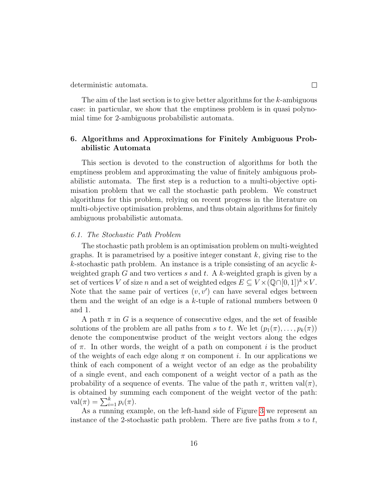deterministic automata.

The aim of the last section is to give better algorithms for the k-ambiguous case: in particular, we show that the emptiness problem is in quasi polynomial time for 2-ambiguous probabilistic automata.

# 6. Algorithms and Approximations for Finitely Ambiguous Probabilistic Automata

This section is devoted to the construction of algorithms for both the emptiness problem and approximating the value of finitely ambiguous probabilistic automata. The first step is a reduction to a multi-objective optimisation problem that we call the stochastic path problem. We construct algorithms for this problem, relying on recent progress in the literature on multi-objective optimisation problems, and thus obtain algorithms for finitely ambiguous probabilistic automata.

#### 6.1. The Stochastic Path Problem

The stochastic path problem is an optimisation problem on multi-weighted graphs. It is parametrised by a positive integer constant  $k$ , giving rise to the k-stochastic path problem. An instance is a triple consisting of an acyclic  $k$ weighted graph G and two vertices s and t. A k-weighted graph is given by a set of vertices V of size n and a set of weighted edges  $E \subseteq V \times (\mathbb{Q} \cap [0,1])^k \times V$ . Note that the same pair of vertices  $(v, v')$  can have several edges between them and the weight of an edge is a  $k$ -tuple of rational numbers between 0 and 1.

A path  $\pi$  in G is a sequence of consecutive edges, and the set of feasible solutions of the problem are all paths from s to t. We let  $(p_1(\pi), \ldots, p_k(\pi))$ denote the componentwise product of the weight vectors along the edges of  $\pi$ . In other words, the weight of a path on component i is the product of the weights of each edge along  $\pi$  on component i. In our applications we think of each component of a weight vector of an edge as the probability of a single event, and each component of a weight vector of a path as the probability of a sequence of events. The value of the path  $\pi$ , written val $(\pi)$ , is obtained by summing each component of the weight vector of the path:  $\operatorname{val}(\pi) = \sum_{i=1}^{k} p_i(\pi).$ 

As a running example, on the left-hand side of Figure [3](#page-16-0) we represent an instance of the 2-stochastic path problem. There are five paths from  $s$  to  $t$ ,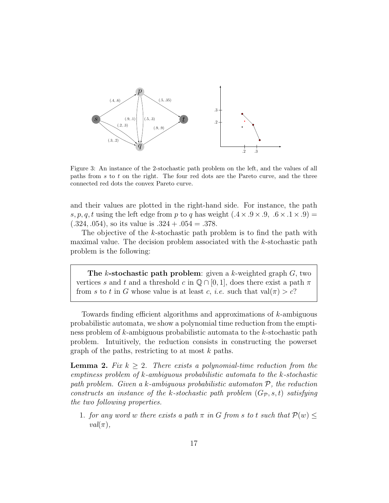<span id="page-16-0"></span>

Figure 3: An instance of the 2-stochastic path problem on the left, and the values of all paths from s to t on the right. The four red dots are the Pareto curve, and the three connected red dots the convex Pareto curve.

and their values are plotted in the right-hand side. For instance, the path s, p, q, t using the left edge from p to q has weight  $(.4 \times .9 \times .9, .6 \times .1 \times .9)$  =  $(.324, .054)$ , so its value is  $.324 + .054 = .378$ .

The objective of the k-stochastic path problem is to find the path with maximal value. The decision problem associated with the  $k$ -stochastic path problem is the following:

The k-stochastic path problem: given a k-weighted graph  $G$ , two vertices s and t and a threshold c in  $\mathbb{Q} \cap [0,1]$ , does there exist a path  $\pi$ from s to t in G whose value is at least c, *i.e.* such that  $val(\pi) > c$ ?

Towards finding efficient algorithms and approximations of k-ambiguous probabilistic automata, we show a polynomial time reduction from the emptiness problem of k-ambiguous probabilistic automata to the k-stochastic path problem. Intuitively, the reduction consists in constructing the powerset graph of the paths, restricting to at most  $k$  paths.

<span id="page-16-1"></span>**Lemma 2.** Fix  $k \geq 2$ . There exists a polynomial-time reduction from the emptiness problem of k-ambiguous probabilistic automata to the k-stochastic path problem. Given a k-ambiguous probabilistic automaton  $P$ , the reduction constructs an instance of the k-stochastic path problem  $(G_{\mathcal{P}}, s, t)$  satisfying the two following properties.

1. for any word w there exists a path  $\pi$  in G from s to t such that  $\mathcal{P}(w) \leq$  $val(\pi)$ ,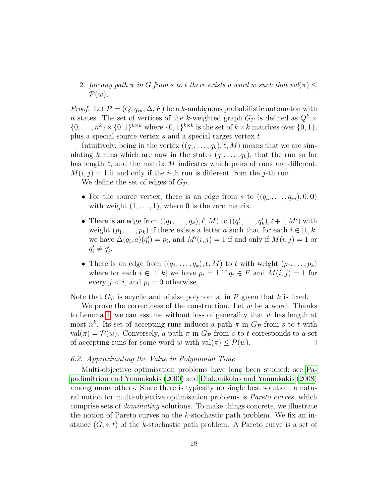2. for any path  $\pi$  in G from s to t there exists a word w such that val $(\pi)$  $\mathcal{P}(w)$ .

*Proof.* Let  $\mathcal{P} = (Q, q_{in}, \Delta, F)$  be a k-ambiguous probabilistic automaton with n states. The set of vertices of the k-weighted graph  $G_{\mathcal{P}}$  is defined as  $Q^k$  ×  $\{0, \ldots, n^k\} \times \{0, 1\}^{k \times k}$  where  $\{0, 1\}^{k \times k}$  is the set of  $k \times k$  matrices over  $\{0, 1\}$ , plus a special source vertex s and a special target vertex t.

Intuitively, being in the vertex  $((q_1, \ldots, q_k), \ell, M)$  means that we are simulating k runs which are now in the states  $(q_1, \ldots, q_k)$ , that the run so far has length  $\ell$ , and the matrix M indicates which pairs of runs are different:  $M(i, j) = 1$  if and only if the *i*-th run is different from the *j*-th run.

We define the set of edges of  $G_{\mathcal{P}}$ .

- For the source vertex, there is an edge from s to  $((q_{in}, \ldots, q_{in}), 0, 0)$ with weight  $(1, \ldots, 1)$ , where **0** is the zero matrix.
- There is an edge from  $((q_1, \ldots, q_k), \ell, M)$  to  $((q'_1, \ldots, q'_k), \ell+1, M')$  with weight  $(p_1, \ldots, p_k)$  if there exists a letter a such that for each  $i \in [1, k]$ we have  $\Delta(q_i, a)(q'_i) = p_i$ , and  $M'(i, j) = 1$  if and only if  $M(i, j) = 1$  or  $q'_i \neq q'_j.$
- There is an edge from  $((q_1, \ldots, q_k), \ell, M)$  to t with weight  $(p_1, \ldots, p_k)$ where for each  $i \in [1, k]$  we have  $p_i = 1$  if  $q_i \in F$  and  $M(i, j) = 1$  for every  $j < i$ , and  $p_i = 0$  otherwise.

Note that  $G_{\mathcal{P}}$  is acyclic and of size polynomial in  $\mathcal P$  given that k is fixed.

We prove the correctness of the construction. Let  $w$  be a word. Thanks to Lemma [1,](#page-11-0) we can assume without loss of generality that  $w$  has length at most  $n^k$ . Its set of accepting runs induces a path  $\pi$  in  $G_{\mathcal{P}}$  from s to t with val( $\pi$ ) =  $\mathcal{P}(w)$ . Conversely, a path  $\pi$  in  $G_{\mathcal{P}}$  from s to t corresponds to a set of accepting runs for some word w with val( $\pi$ ) <  $\mathcal{P}(w)$ . of accepting runs for some word w with  $val(\pi) < P(w)$ .

### 6.2. Approximating the Value in Polynomial Time

Multi-objective optimisation problems have long been studied; see [Pa](#page-23-10)[padimitriou and Yannakakis](#page-23-10) [\(2000\)](#page-23-10) and [Diakonikolas and Yannakakis](#page-22-7) [\(2008\)](#page-22-7) among many others. Since there is typically no single best solution, a natural notion for multi-objective optimisation problems is *Pareto curves*, which comprise sets of dominating solutions. To make things concrete, we illustrate the notion of Pareto curves on the k-stochastic path problem. We fix an instance  $(G, s, t)$  of the k-stochastic path problem. A Pareto curve is a set of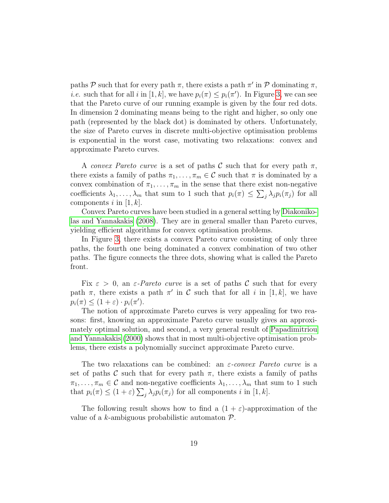paths  $P$  such that for every path  $\pi$ , there exists a path  $\pi'$  in  $P$  dominating  $\pi$ , *i.e.* such that for all *i* in [1, k], we have  $p_i(\pi) \leq p_i(\pi')$ . In Figure [3,](#page-16-0) we can see that the Pareto curve of our running example is given by the four red dots. In dimension 2 dominating means being to the right and higher, so only one path (represented by the black dot) is dominated by others. Unfortunately, the size of Pareto curves in discrete multi-objective optimisation problems is exponential in the worst case, motivating two relaxations: convex and approximate Pareto curves.

A convex Pareto curve is a set of paths C such that for every path  $\pi$ , there exists a family of paths  $\pi_1, \ldots, \pi_m \in \mathcal{C}$  such that  $\pi$  is dominated by a convex combination of  $\pi_1, \ldots, \pi_m$  in the sense that there exist non-negative coefficients  $\lambda_1, \ldots, \lambda_m$  that sum to 1 such that  $p_i(\pi) \leq \sum_j \lambda_j p_i(\pi_j)$  for all components i in  $[1, k]$ .

Convex Pareto curves have been studied in a general setting by [Diakoniko](#page-22-7)[las and Yannakakis](#page-22-7) [\(2008\)](#page-22-7). They are in general smaller than Pareto curves, yielding efficient algorithms for convex optimisation problems.

In Figure [3,](#page-16-0) there exists a convex Pareto curve consisting of only three paths, the fourth one being dominated a convex combination of two other paths. The figure connects the three dots, showing what is called the Pareto front.

Fix  $\varepsilon > 0$ , an  $\varepsilon$ -Pareto curve is a set of paths C such that for every path  $\pi$ , there exists a path  $\pi'$  in C such that for all i in [1, k], we have  $p_i(\pi) \leq (1+\varepsilon) \cdot p_i(\pi').$ 

The notion of approximate Pareto curves is very appealing for two reasons: first, knowing an approximate Pareto curve usually gives an approximately optimal solution, and second, a very general result of [Papadimitriou](#page-23-10) [and Yannakakis](#page-23-10) [\(2000\)](#page-23-10) shows that in most multi-objective optimisation problems, there exists a polynomially succinct approximate Pareto curve.

The two relaxations can be combined: an  $\varepsilon$ -convex Pareto curve is a set of paths C such that for every path  $\pi$ , there exists a family of paths  $\pi_1, \ldots, \pi_m \in \mathcal{C}$  and non-negative coefficients  $\lambda_1, \ldots, \lambda_m$  that sum to 1 such that  $p_i(\pi) \le (1+\varepsilon) \sum_j \lambda_j p_i(\pi_j)$  for all components i in [1, k].

The following result shows how to find a  $(1 + \varepsilon)$ -approximation of the value of a k-ambiguous probabilistic automaton  $P$ .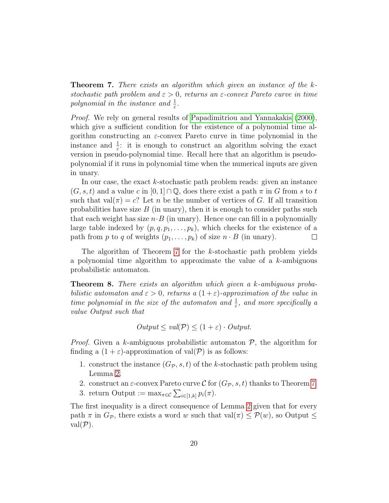<span id="page-19-0"></span>Theorem 7. There exists an algorithm which given an instance of the kstochastic path problem and  $\varepsilon > 0$ , returns an  $\varepsilon$ -convex Pareto curve in time polynomial in the instance and  $\frac{1}{\varepsilon}$ .

Proof. We rely on general results of [Papadimitriou and Yannakakis](#page-23-10) [\(2000\)](#page-23-10), which give a sufficient condition for the existence of a polynomial time algorithm constructing an  $\varepsilon$ -convex Pareto curve in time polynomial in the instance and  $\frac{1}{\varepsilon}$ : it is enough to construct an algorithm solving the exact version in pseudo-polynomial time. Recall here that an algorithm is pseudopolynomial if it runs in polynomial time when the numerical inputs are given in unary.

In our case, the exact k-stochastic path problem reads: given an instance  $(G, s, t)$  and a value c in  $[0, 1] \cap \mathbb{Q}$ , does there exist a path  $\pi$  in G from s to t such that val $(\pi) = c$ ? Let n be the number of vertices of G. If all transition probabilities have size  $B$  (in unary), then it is enough to consider paths such that each weight has size  $n \cdot B$  (in unary). Hence one can fill in a polynomially large table indexed by  $(p, q, p_1, \ldots, p_k)$ , which checks for the existence of a path from p to q of weights  $(p_1, \ldots, p_k)$  of size  $n \cdot B$  (in unary).  $\Box$ 

The algorithm of Theorem [7](#page-19-0) for the k-stochastic path problem yields a polynomial time algorithm to approximate the value of a k-ambiguous probabilistic automaton.

<span id="page-19-1"></span>Theorem 8. There exists an algorithm which given a k-ambiguous probabilistic automaton and  $\varepsilon > 0$ , returns a  $(1 + \varepsilon)$ -approximation of the value in time polynomial in the size of the automaton and  $\frac{1}{\varepsilon}$ , and more specifically a value Output such that

$$
Output \le val(\mathcal{P}) \le (1 + \varepsilon) \cdot Output.
$$

*Proof.* Given a k-ambiguous probabilistic automaton  $P$ , the algorithm for finding a  $(1 + \varepsilon)$ -approximation of val $(\mathcal{P})$  is as follows:

- 1. construct the instance  $(G_{\mathcal{P}}, s, t)$  of the k-stochastic path problem using Lemma [2.](#page-16-1)
- 2. construct an  $\varepsilon$ -convex Pareto curve C for  $(G_{\mathcal{P}}, s, t)$  thanks to Theorem [7.](#page-19-0)
- 3. return Output :=  $\max_{\pi \in \mathcal{C}} \sum_{i \in [1,k]} p_i(\pi)$ .

The first inequality is a direct consequence of Lemma [2](#page-16-1) given that for every path  $\pi$  in  $G_{\mathcal{P}}$ , there exists a word w such that val $(\pi) \leq \mathcal{P}(w)$ , so Output  $\leq$  $val(\mathcal{P}).$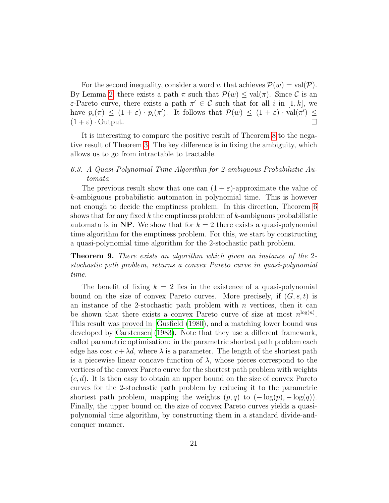For the second inequality, consider a word w that achieves  $\mathcal{P}(w) = \text{val}(\mathcal{P})$ . By Lemma [2,](#page-16-1) there exists a path  $\pi$  such that  $\mathcal{P}(w) \leq \text{val}(\pi)$ . Since C is an  $\varepsilon$ -Pareto curve, there exists a path  $\pi' \in \mathcal{C}$  such that for all i in [1, k], we have  $p_i(\pi) \leq (1+\varepsilon) \cdot p_i(\pi')$ . It follows that  $\mathcal{P}(w) \leq (1+\varepsilon) \cdot \text{val}(\pi') \leq$  $(1 + \varepsilon) \cdot$  Output.

It is interesting to compare the positive result of Theorem [8](#page-19-1) to the negative result of Theorem [3.](#page-8-0) The key difference is in fixing the ambiguity, which allows us to go from intractable to tractable.

# 6.3. A Quasi-Polynomial Time Algorithm for 2-ambiguous Probabilistic Automata

The previous result show that one can  $(1 + \varepsilon)$ -approximate the value of k-ambiguous probabilistic automaton in polynomial time. This is however not enough to decide the emptiness problem. In this direction, Theorem [6](#page-13-0) shows that for any fixed k the emptiness problem of  $k$ -ambiguous probabilistic automata is in NP. We show that for  $k = 2$  there exists a quasi-polynomial time algorithm for the emptiness problem. For this, we start by constructing a quasi-polynomial time algorithm for the 2-stochastic path problem.

<span id="page-20-0"></span>Theorem 9. There exists an algorithm which given an instance of the 2 stochastic path problem, returns a convex Pareto curve in quasi-polynomial time.

The benefit of fixing  $k = 2$  lies in the existence of a quasi-polynomial bound on the size of convex Pareto curves. More precisely, if  $(G, s, t)$  is an instance of the 2-stochastic path problem with  $n$  vertices, then it can be shown that there exists a convex Pareto curve of size at most  $n^{\log(n)}$ . This result was proved in [Gusfield](#page-23-11) [\(1980\)](#page-23-11), and a matching lower bound was developed by [Carstensen](#page-22-8) [\(1983\)](#page-22-8). Note that they use a different framework, called parametric optimisation: in the parametric shortest path problem each edge has cost  $c + \lambda d$ , where  $\lambda$  is a parameter. The length of the shortest path is a piecewise linear concave function of  $\lambda$ , whose pieces correspond to the vertices of the convex Pareto curve for the shortest path problem with weights  $(c, d)$ . It is then easy to obtain an upper bound on the size of convex Pareto curves for the 2-stochastic path problem by reducing it to the parametric shortest path problem, mapping the weights  $(p, q)$  to  $(-\log(p), -\log(q))$ . Finally, the upper bound on the size of convex Pareto curves yields a quasipolynomial time algorithm, by constructing them in a standard divide-andconquer manner.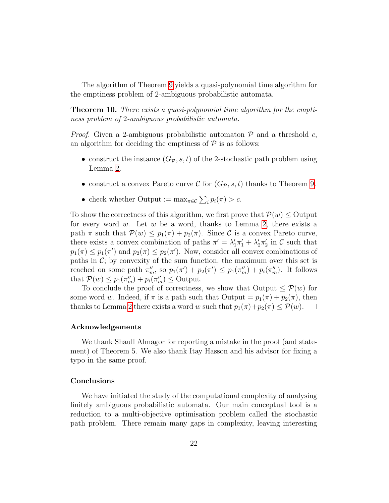The algorithm of Theorem [9](#page-20-0) yields a quasi-polynomial time algorithm for the emptiness problem of 2-ambiguous probabilistic automata.

Theorem 10. There exists a quasi-polynomial time algorithm for the emptiness problem of 2-ambiguous probabilistic automata.

*Proof.* Given a 2-ambiguous probabilistic automaton  $\mathcal{P}$  and a threshold c, an algorithm for deciding the emptiness of  $P$  is as follows:

- construct the instance  $(G_{\mathcal{P}}, s, t)$  of the 2-stochastic path problem using Lemma [2.](#page-16-1)
- construct a convex Pareto curve C for  $(G_{\mathcal{P}}, s, t)$  thanks to Theorem [9.](#page-20-0)
- check whether Output :=  $\max_{\pi \in \mathcal{C}} \sum_i p_i(\pi) > c$ .

To show the correctness of this algorithm, we first prove that  $\mathcal{P}(w) \leq$  Output for every word  $w$ . Let  $w$  be a word, thanks to Lemma [2,](#page-16-1) there exists a path  $\pi$  such that  $\mathcal{P}(w) \leq p_1(\pi) + p_2(\pi)$ . Since C is a convex Pareto curve, there exists a convex combination of paths  $\pi' = \lambda'_1 \pi'_1 + \lambda'_2 \pi'_2$  in C such that  $p_1(\pi) \leq p_1(\pi')$  and  $p_2(\pi) \leq p_2(\pi')$ . Now, consider all convex combinations of paths in  $\mathcal{C}$ ; by convexity of the sum function, the maximum over this set is reached on some path  $\pi_m''$ , so  $p_1(\pi') + p_2(\pi') \leq p_1(\pi_m'') + p_i(\pi_m'')$ . It follows that  $P(w) \leq p_1(\pi_m'') + p_i(\pi_m'') \leq$  Output.

To conclude the proof of correctness, we show that Output  $\leq \mathcal{P}(w)$  for some word w. Indeed, if  $\pi$  is a path such that Output  $= p_1(\pi) + p_2(\pi)$ , then thanks to Lemma [2](#page-16-1) there exists a word w such that  $p_1(\pi)+p_2(\pi) \leq \mathcal{P}(w)$ .  $\Box$ 

#### Acknowledgements

We thank Shaull Almagor for reporting a mistake in the proof (and statement) of Theorem 5. We also thank Itay Hasson and his advisor for fixing a typo in the same proof.

### Conclusions

We have initiated the study of the computational complexity of analysing finitely ambiguous probabilistic automata. Our main conceptual tool is a reduction to a multi-objective optimisation problem called the stochastic path problem. There remain many gaps in complexity, leaving interesting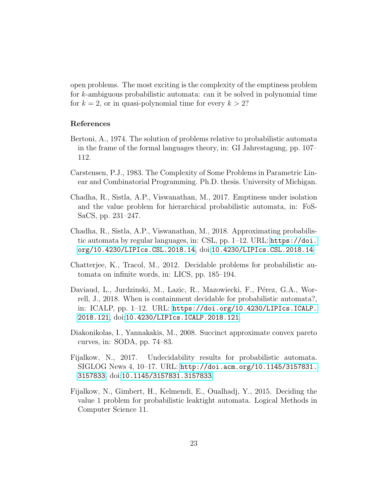open problems. The most exciting is the complexity of the emptiness problem for k-ambiguous probabilistic automata: can it be solved in polynomial time for  $k = 2$ , or in quasi-polynomial time for every  $k > 2$ ?

### References

- <span id="page-22-5"></span>Bertoni, A., 1974. The solution of problems relative to probabilistic automata in the frame of the formal languages theory, in: GI Jahrestagung, pp. 107– 112.
- <span id="page-22-8"></span>Carstensen, P.J., 1983. The Complexity of Some Problems in Parametric Linear and Combinatorial Programming. Ph.D. thesis. University of Michigan.
- <span id="page-22-2"></span>Chadha, R., Sistla, A.P., Viswanathan, M., 2017. Emptiness under isolation and the value problem for hierarchical probabilistic automata, in: FoS-SaCS, pp. 231–247.
- <span id="page-22-4"></span>Chadha, R., Sistla, A.P., Viswanathan, M., 2018. Approximating probabilistic automata by regular languages, in: CSL, pp. 1–12. URL: [https://doi.](https://doi.org/10.4230/LIPIcs.CSL.2018.14) [org/10.4230/LIPIcs.CSL.2018.14](https://doi.org/10.4230/LIPIcs.CSL.2018.14), doi:[10.4230/LIPIcs.CSL.2018.14](http://dx.doi.org/10.4230/LIPIcs.CSL.2018.14).
- <span id="page-22-0"></span>Chatterjee, K., Tracol, M., 2012. Decidable problems for probabilistic automata on infinite words, in: LICS, pp. 185–194.
- <span id="page-22-3"></span>Daviaud, L., Jurdzinski, M., Lazic, R., Mazowiecki, F., Pérez, G.A., Worrell, J., 2018. When is containment decidable for probabilistic automata?, in: ICALP, pp. 1–12. URL: [https://doi.org/10.4230/LIPIcs.ICALP.](https://doi.org/10.4230/LIPIcs.ICALP.2018.121) [2018.121](https://doi.org/10.4230/LIPIcs.ICALP.2018.121), doi:[10.4230/LIPIcs.ICALP.2018.121](http://dx.doi.org/10.4230/LIPIcs.ICALP.2018.121).
- <span id="page-22-7"></span>Diakonikolas, I., Yannakakis, M., 2008. Succinct approximate convex pareto curves, in: SODA, pp. 74–83.
- <span id="page-22-6"></span>Fijalkow, N., 2017. Undecidability results for probabilistic automata. SIGLOG News 4, 10–17. URL: [http://doi.acm.org/10.1145/3157831.](http://doi.acm.org/10.1145/3157831.3157833) [3157833](http://doi.acm.org/10.1145/3157831.3157833), doi:[10.1145/3157831.3157833](http://dx.doi.org/10.1145/3157831.3157833).
- <span id="page-22-1"></span>Fijalkow, N., Gimbert, H., Kelmendi, E., Oualhadj, Y., 2015. Deciding the value 1 problem for probabilistic leaktight automata. Logical Methods in Computer Science 11.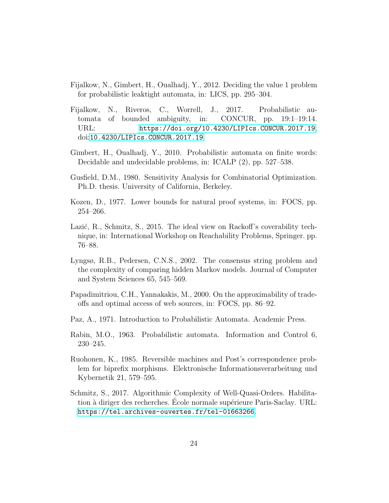- <span id="page-23-1"></span>Fijalkow, N., Gimbert, H., Oualhadj, Y., 2012. Deciding the value 1 problem for probabilistic leaktight automata, in: LICS, pp. 295–304.
- <span id="page-23-4"></span>Fijalkow, N., Riveros, C., Worrell, J., 2017. Probabilistic automata of bounded ambiguity, in: CONCUR, pp. 19:1–19:14. URL: <https://doi.org/10.4230/LIPIcs.CONCUR.2017.19>, doi:[10.4230/LIPIcs.CONCUR.2017.19](http://dx.doi.org/10.4230/LIPIcs.CONCUR.2017.19).
- <span id="page-23-3"></span>Gimbert, H., Oualhadj, Y., 2010. Probabilistic automata on finite words: Decidable and undecidable problems, in: ICALP (2), pp. 527–538.
- <span id="page-23-11"></span>Gusfield, D.M., 1980. Sensitivity Analysis for Combinatorial Optimization. Ph.D. thesis. University of California, Berkeley.
- <span id="page-23-9"></span>Kozen, D., 1977. Lower bounds for natural proof systems, in: FOCS, pp. 254–266.
- <span id="page-23-8"></span>Lazić, R., Schmitz, S., 2015. The ideal view on Rackoff's coverability technique, in: International Workshop on Reachability Problems, Springer. pp. 76–88.
- <span id="page-23-6"></span>Lyngsø, R.B., Pedersen, C.N.S., 2002. The consensus string problem and the complexity of comparing hidden Markov models. Journal of Computer and System Sciences 65, 545–569.
- <span id="page-23-10"></span>Papadimitriou, C.H., Yannakakis, M., 2000. On the approximability of tradeoffs and optimal access of web sources, in: FOCS, pp. 86–92.
- <span id="page-23-2"></span>Paz, A., 1971. Introduction to Probabilistic Automata. Academic Press.
- <span id="page-23-0"></span>Rabin, M.O., 1963. Probabilistic automata. Information and Control 6, 230–245.
- <span id="page-23-5"></span>Ruohonen, K., 1985. Reversible machines and Post's correspondence problem for biprefix morphisms. Elektronische Informationsverarbeitung und Kybernetik 21, 579–595.
- <span id="page-23-7"></span>Schmitz, S., 2017. Algorithmic Complexity of Well-Quasi-Orders. Habilitation à diriger des recherches. Ecole normale supérieure Paris-Saclay. URL: <https://tel.archives-ouvertes.fr/tel-01663266>.